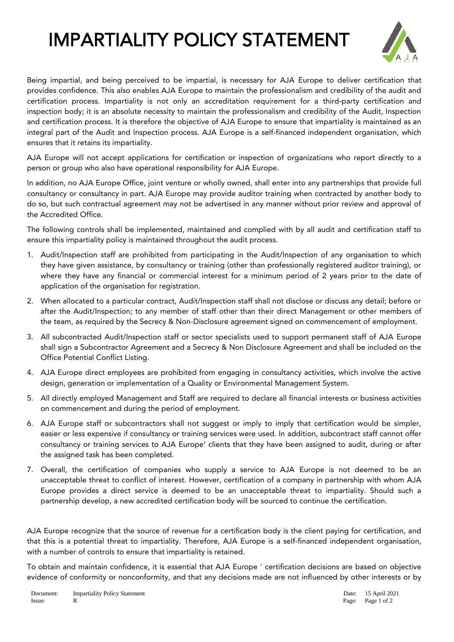## IMPARTIALITY POLICY STATEMENT



Being impartial, and being perceived to be impartial, is necessary for AJA Europe to deliver certification that provides confidence. This also enables AJA Europe to maintain the professionalism and credibility of the audit and certification process. Impartiality is not only an accreditation requirement for a third-party certification and inspection body; it is an absolute necessity to maintain the professionalism and credibility of the Audit, Inspection and certification process. It is therefore the objective of AJA Europe to ensure that impartiality is maintained as an integral part of the Audit and Inspection process. AJA Europe is a self-financed independent organisation, which ensures that it retains its impartiality.

AJA Europe will not accept applications for certification or inspection of organizations who report directly to a person or group who also have operational responsibility for AJA Europe.

In addition, no AJA Europe Office, joint venture or wholly owned, shall enter into any partnerships that provide full consultancy or consultancy in part. AJA Europe may provide auditor training when contracted by another body to do so, but such contractual agreement may not be advertised in any manner without prior review and approval of the Accredited Office.

The following controls shall be implemented, maintained and complied with by all audit and certification staff to ensure this impartiality policy is maintained throughout the audit process.

- 1. Audit/Inspection staff are prohibited from participating in the Audit/Inspection of any organisation to which they have given assistance, by consultancy or training (other than professionally registered auditor training), or where they have any financial or commercial interest for a minimum period of 2 years prior to the date of application of the organisation for registration.
- 2. When allocated to a particular contract, Audit/Inspection staff shall not disclose or discuss any detail; before or after the Audit/Inspection; to any member of staff other than their direct Management or other members of the team, as required by the Secrecy & Non-Disclosure agreement signed on commencement of employment.
- 3. All subcontracted Audit/Inspection staff or sector specialists used to support permanent staff of AJA Europe shall sign a Subcontractor Agreement and a Secrecy & Non Disclosure Agreement and shall be included on the Office Potential Conflict Listing.
- 4. AJA Europe direct employees are prohibited from engaging in consultancy activities, which involve the active design, generation or implementation of a Quality or Environmental Management System.
- 5. All directly employed Management and Staff are required to declare all financial interests or business activities on commencement and during the period of employment.
- 6. AJA Europe staff or subcontractors shall not suggest or imply to imply that certification would be simpler, easier or less expensive if consultancy or training services were used. In addition, subcontract staff cannot offer consultancy or training services to AJA Europe' clients that they have been assigned to audit, during or after the assigned task has been completed.
- 7. Overall, the certification of companies who supply a service to AJA Europe is not deemed to be an unacceptable threat to conflict of interest. However, certification of a company in partnership with whom AJA Europe provides a direct service is deemed to be an unacceptable threat to impartiality. Should such a partnership develop, a new accredited certification body will be sourced to continue the certification.

AJA Europe recognize that the source of revenue for a certification body is the client paying for certification, and that this is a potential threat to impartiality. Therefore, AJA Europe is a self-financed independent organisation, with a number of controls to ensure that impartiality is retained.

To obtain and maintain confidence, it is essential that AJA Europe ' certification decisions are based on objective evidence of conformity or nonconformity, and that any decisions made are not influenced by other interests or by